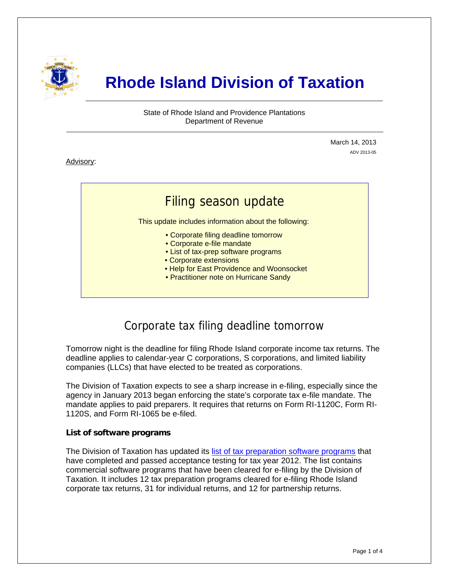

# **Rhode Island Division of Taxation**

State of Rhode Island and Providence Plantations Department of Revenue

> March 14, 2013 ADV 2013-05

Advisory:

j

## Filing season update

This update includes information about the following:

- Corporate filing deadline tomorrow
- Corporate e-file mandate
- List of tax-prep software programs
- Corporate extensions
- Help for East Providence and Woonsocket
- Practitioner note on Hurricane Sandy

### Corporate tax filing deadline tomorrow

Tomorrow night is the deadline for filing Rhode Island corporate income tax returns. The deadline applies to calendar-year C corporations, S corporations, and limited liability companies (LLCs) that have elected to be treated as corporations.

The Division of Taxation expects to see a sharp increase in e-filing, especially since the agency in January 2013 began enforcing the state's corporate tax e-file mandate. The mandate applies to paid preparers. It requires that returns on Form RI-1120C, Form RI-1120S, and Form RI-1065 be e-filed.

### **List of software programs**

The Division of Taxation has updated its [list of tax preparation software programs](http://www.tax.ri.gov/help/Approved%20E-file%20Software.php) that have completed and passed acceptance testing for tax year 2012. The list contains commercial software programs that have been cleared for e-filing by the Division of Taxation. It includes 12 tax preparation programs cleared for e-filing Rhode Island corporate tax returns, 31 for individual returns, and 12 for partnership returns.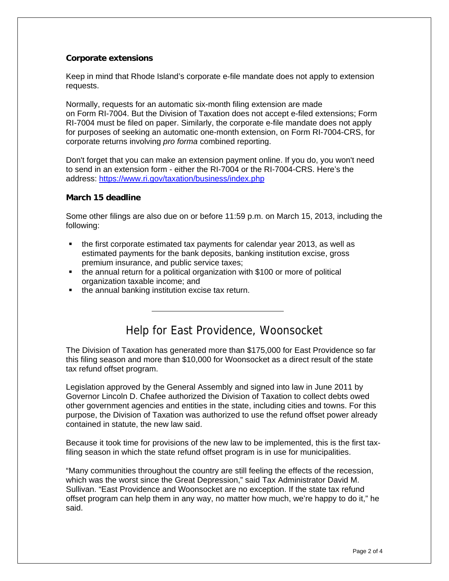### **Corporate extensions**

Keep in mind that Rhode Island's corporate e-file mandate does not apply to extension requests.

Normally, requests for an automatic six-month filing extension are made on Form RI-7004. But the Division of Taxation does not accept e-filed extensions; Form RI-7004 must be filed on paper. Similarly, the corporate e-file mandate does not apply for purposes of seeking an automatic one-month extension, on Form RI-7004-CRS, for corporate returns involving *pro forma* combined reporting.

Don't forget that you can make an extension payment online. If you do, you won't need to send in an extension form - either the RI-7004 or the RI-7004-CRS. Here's the address:<https://www.ri.gov/taxation/business/index.php>

#### **March 15 deadline**

Some other filings are also due on or before 11:59 p.m. on March 15, 2013, including the following:

- the first corporate estimated tax payments for calendar year 2013, as well as estimated payments for the bank deposits, banking institution excise, gross premium insurance, and public service taxes;
- the annual return for a political organization with \$100 or more of political organization taxable income; and
- **the annual banking institution excise tax return.**

### Help for East Providence, Woonsocket

The Division of Taxation has generated more than \$175,000 for East Providence so far this filing season and more than \$10,000 for Woonsocket as a direct result of the state tax refund offset program.

Legislation approved by the General Assembly and signed into law in June 2011 by Governor Lincoln D. Chafee authorized the Division of Taxation to collect debts owed other government agencies and entities in the state, including cities and towns. For this purpose, the Division of Taxation was authorized to use the refund offset power already contained in statute, the new law said.

Because it took time for provisions of the new law to be implemented, this is the first taxfiling season in which the state refund offset program is in use for municipalities.

"Many communities throughout the country are still feeling the effects of the recession, which was the worst since the Great Depression," said Tax Administrator David M. Sullivan. "East Providence and Woonsocket are no exception. If the state tax refund offset program can help them in any way, no matter how much, we're happy to do it," he said.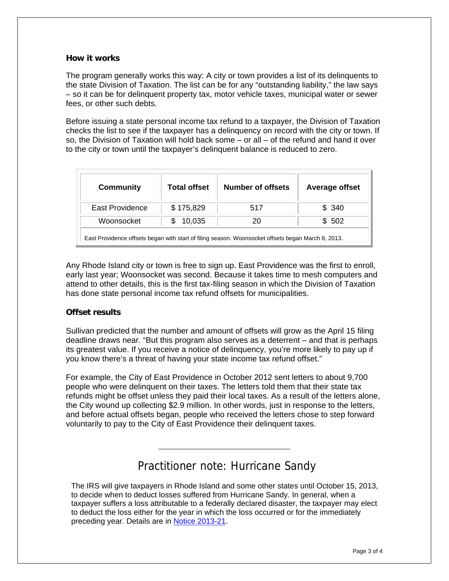#### **How it works**

The program generally works this way: A city or town provides a list of its delinquents to the state Division of Taxation. The list can be for any "outstanding liability," the law says – so it can be for delinquent property tax, motor vehicle taxes, municipal water or sewer fees, or other such debts.

Before issuing a state personal income tax refund to a taxpayer, the Division of Taxation checks the list to see if the taxpayer has a delinquency on record with the city or town. If so, the Division of Taxation will hold back some – or all – of the refund and hand it over to the city or town until the taxpayer's delinquent balance is reduced to zero.

| <b>Community</b>                                                                                   | <b>Total offset</b> | Number of offsets | Average offset |
|----------------------------------------------------------------------------------------------------|---------------------|-------------------|----------------|
| East Providence                                                                                    | \$175,829           | 517               | \$ 340         |
| Woonsocket                                                                                         | 10,035              | 20                | \$ 502         |
| East Providence offsets began with start of filing season. Woonsocket offsets began March 8, 2013. |                     |                   |                |

Any Rhode Island city or town is free to sign up. East Providence was the first to enroll, early last year; Woonsocket was second. Because it takes time to mesh computers and attend to other details, this is the first tax-filing season in which the Division of Taxation has done state personal income tax refund offsets for municipalities.

### **Offset results**

Sullivan predicted that the number and amount of offsets will grow as the April 15 filing deadline draws near. "But this program also serves as a deterrent – and that is perhaps its greatest value. If you receive a notice of delinquency, you're more likely to pay up if you know there's a threat of having your state income tax refund offset."

For example, the City of East Providence in October 2012 sent letters to about 9,700 people who were delinquent on their taxes. The letters told them that their state tax refunds might be offset unless they paid their local taxes. As a result of the letters alone, the City wound up collecting \$2.9 million. In other words, just in response to the letters, and before actual offsets began, people who received the letters chose to step forward voluntarily to pay to the City of East Providence their delinquent taxes.

### Practitioner note: Hurricane Sandy

The IRS will give taxpayers in Rhode Island and some other states until October 15, 2013, to decide when to deduct losses suffered from Hurricane Sandy. In general, when a taxpayer suffers a loss attributable to a federally declared disaster, the taxpayer may elect to deduct the loss either for the year in which the loss occurred or for the immediately preceding year. Details are in [Notice 2013-21.](http://www.irs.gov/pub/irs-drop/n-13-21.pdf)